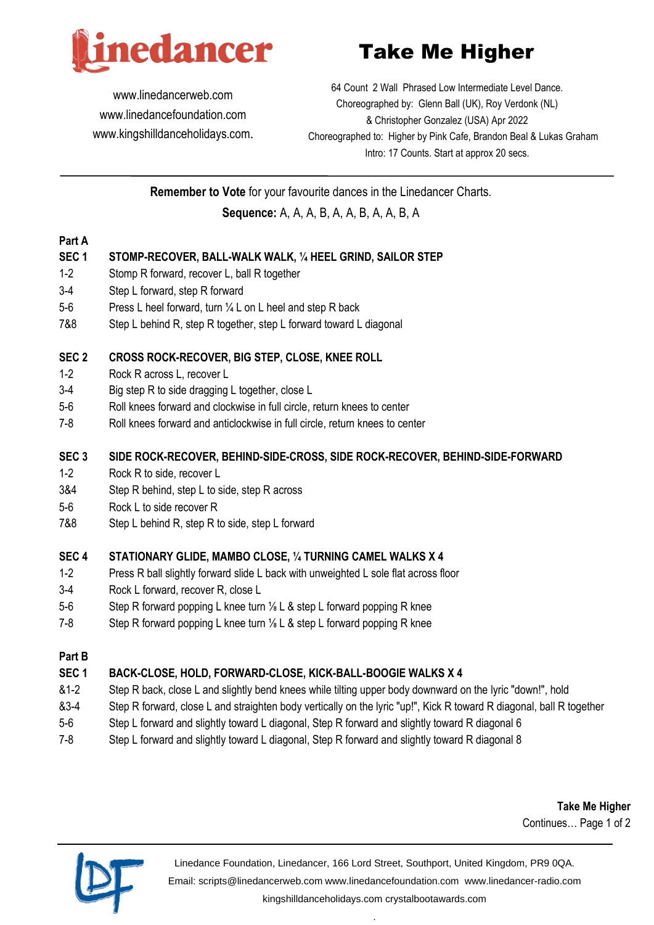

Take Me Higher

[www.linedancerweb.com](http://www.linedancerweb.com/) [www.linedancefoundation.com](http://www.linedancerweb.com/)  [www.kingshilldanceholidays.com](http://www.kingshilldanceholidays.com/).

64 Count 2 Wall Phrased Low Intermediate Level Dance. Choreographed by: Glenn Ball (UK), Roy Verdonk (NL) & Christopher Gonzalez (USA) Apr 2022 Choreographed to: Higher by Pink Cafe, Brandon Beal & Lukas Graham Intro: 17 Counts. Start at approx 20 secs.

**Remember to Vote** for your favourite dances in the Linedancer Charts.

**Sequence:** A, A, A, B, A, A, B, A, A, B, A

### **Part A**

### **SEC 1 STOMP-RECOVER, BALL-WALK WALK, ¼ HEEL GRIND, SAILOR STEP**

- 1-2 Stomp R forward, recover L, ball R together
- 3-4 Step L forward, step R forward
- 5-6 Press L heel forward, turn ¼ L on L heel and step R back
- 7&8 Step L behind R, step R together, step L forward toward L diagonal

### **SEC 2 CROSS ROCK-RECOVER, BIG STEP, CLOSE, KNEE ROLL**

- 1-2 Rock R across L, recover L
- 3-4 Big step R to side dragging L together, close L
- 5-6 Roll knees forward and clockwise in full circle, return knees to center
- 7-8 Roll knees forward and anticlockwise in full circle, return knees to center

#### **SEC 3 SIDE ROCK-RECOVER, BEHIND-SIDE-CROSS, SIDE ROCK-RECOVER, BEHIND-SIDE-FORWARD**

- 1-2 Rock R to side, recover L
- 3&4 Step R behind, step L to side, step R across
- 5-6 Rock L to side recover R
- 7&8 Step L behind R, step R to side, step L forward

### **SEC 4 STATIONARY GLIDE, MAMBO CLOSE, ¼ TURNING CAMEL WALKS X 4**

- 1-2 Press R ball slightly forward slide L back with unweighted L sole flat across floor
- 3-4 Rock L forward, recover R, close L
- 5-6 Step R forward popping L knee turn <sup>1/</sup><sub>8</sub> L & step L forward popping R knee
- 7-8 Step R forward popping L knee turn <sup>1/</sup><sub>8</sub> L & step L forward popping R knee

### **Part B**

# **SEC 1 BACK-CLOSE, HOLD, FORWARD-CLOSE, KICK-BALL-BOOGIE WALKS X 4**

- &1-2 Step R back, close L and slightly bend knees while tilting upper body downward on the lyric "down!", hold
- &3-4 Step R forward, close L and straighten body vertically on the lyric "up!", Kick R toward R diagonal, ball R together
- 5-6 Step L forward and slightly toward L diagonal, Step R forward and slightly toward R diagonal 6
- 7-8 Step L forward and slightly toward L diagonal, Step R forward and slightly toward R diagonal 8

**Take Me Higher** Continues… Page 1 of 2



Linedance Foundation, Linedancer, 166 Lord Street, Southport, United Kingdom, PR9 0QA. Email: [scripts@linedancerweb.com](mailto:scripts@linedancerweb.com) [www.linedancefoundation.com](http://www.linedancefoundation.com/) [www.linedancer-radio.com](http://www.linedancer-radio.com/) [kingshilldanceholidays.com](http://kingshilldanceholidays.com/) [crystalbootawards.com](http://crystalbootawards.com/)

.